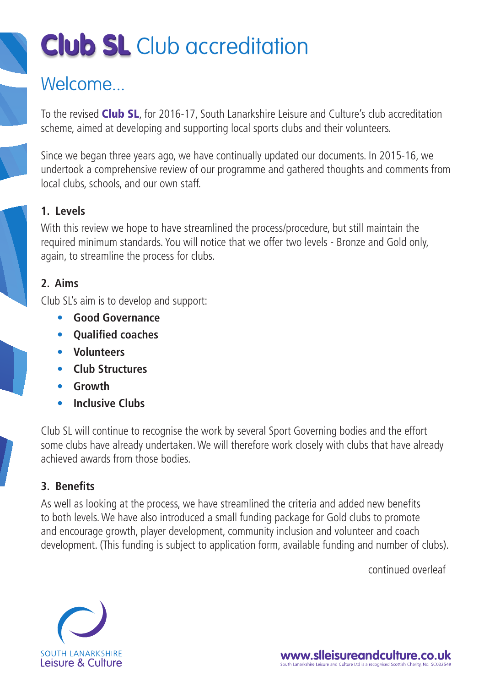# **Club SL** Club accreditation

### Welcome

To the revised Club SL, for 2016-17, South Lanarkshire Leisure and Culture's club accreditation scheme, aimed at developing and supporting local sports clubs and their volunteers.

Since we began three years ago, we have continually updated our documents. In 2015-16, we undertook a comprehensive review of our programme and gathered thoughts and comments from local clubs, schools, and our own staff.

### **1. Levels**

With this review we hope to have streamlined the process/procedure, but still maintain the required minimum standards. You will notice that we offer two levels - Bronze and Gold only, again, to streamline the process for clubs.

### **2. Aims**

Club SL's aim is to develop and support:

- **• Good Governance**
- **•** Oualified coaches
- **• Volunteers**
- **• Club Structures**
- **• Growth**
- **• Inclusive Clubs**

Club SL will continue to recognise the work by several Sport Governing bodies and the effort some clubs have already undertaken. We will therefore work closely with clubs that have already achieved awards from those bodies.

### **3. Benefi ts**

As well as looking at the process, we have streamlined the criteria and added new benefits to both levels. We have also introduced a small funding package for Gold clubs to promote and encourage growth, player development, community inclusion and volunteer and coach development. (This funding is subject to application form, available funding and number of clubs).

continued overleaf



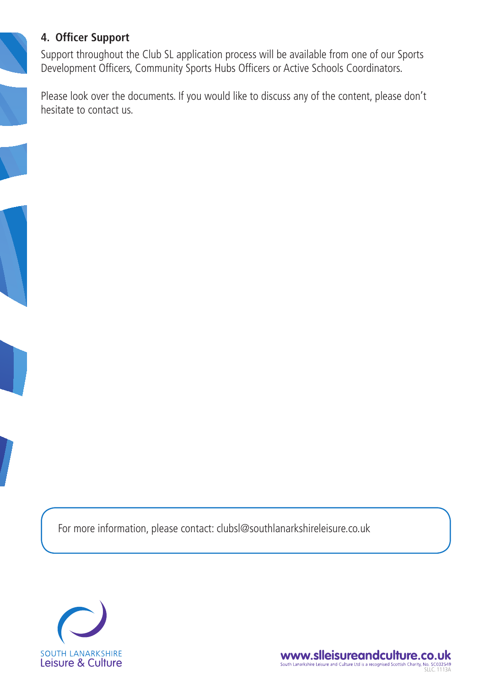### **4. Officer Support**

Support throughout the Club SL application process will be available from one of our Sports Development Officers, Community Sports Hubs Officers or Active Schools Coordinators.

Please look over the documents. If you would like to discuss any of the content, please don't hesitate to contact us.

For more information, please contact: clubsl@southlanarkshireleisure.co.uk



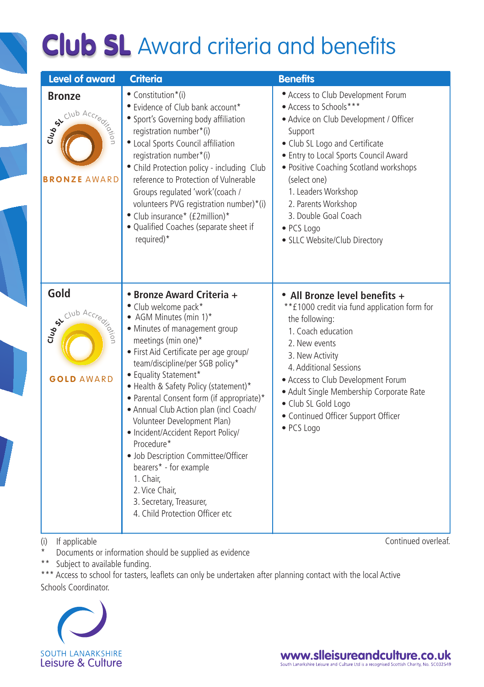## **Club SL** Award criteria and benefits

| <b>Level of award</b>                                    | <b>Criteria</b>                                                                                                                                                                                                                                                                                                                                                                                                                                                                                                                                                                                                              | <b>Benefits</b>                                                                                                                                                                                                                                                                                                                                                             |  |  |
|----------------------------------------------------------|------------------------------------------------------------------------------------------------------------------------------------------------------------------------------------------------------------------------------------------------------------------------------------------------------------------------------------------------------------------------------------------------------------------------------------------------------------------------------------------------------------------------------------------------------------------------------------------------------------------------------|-----------------------------------------------------------------------------------------------------------------------------------------------------------------------------------------------------------------------------------------------------------------------------------------------------------------------------------------------------------------------------|--|--|
| <b>Bronze</b><br>SA Club Accredit<br><b>BRONZE AWARD</b> | • Constitution*(i)<br>• Evidence of Club bank account*<br>· Sport's Governing body affiliation<br>registration number*(i)<br>· Local Sports Council affiliation<br>registration number*(i)<br>• Child Protection policy - including Club<br>reference to Protection of Vulnerable<br>Groups regulated 'work'(coach /<br>volunteers PVG registration number)*(i)<br>• Club insurance* (£2million)*<br>· Qualified Coaches (separate sheet if<br>required)*                                                                                                                                                                    | • Access to Club Development Forum<br>• Access to Schools***<br>· Advice on Club Development / Officer<br>Support<br>· Club SL Logo and Certificate<br>· Entry to Local Sports Council Award<br>· Positive Coaching Scotland workshops<br>(select one)<br>1. Leaders Workshop<br>2. Parents Workshop<br>3. Double Goal Coach<br>• PCS Logo<br>· SLLC Website/Club Directory |  |  |
| Gold<br>SACIUD Accre<br><b>GOLD AWARD</b>                | • Bronze Award Criteria +<br>• Club welcome pack*<br>• AGM Minutes (min 1)*<br>• Minutes of management group<br>meetings (min one)*<br>· First Aid Certificate per age group/<br>team/discipline/per SGB policy*<br>• Equality Statement*<br>• Health & Safety Policy (statement)*<br>• Parental Consent form (if appropriate)*<br>• Annual Club Action plan (incl Coach/<br>Volunteer Development Plan)<br>· Incident/Accident Report Policy/<br>Procedure*<br>· Job Description Committee/Officer<br>bearers* - for example<br>1. Chair,<br>2. Vice Chair,<br>3. Secretary, Treasurer,<br>4. Child Protection Officer etc. | • All Bronze level benefits +<br>**£1000 credit via fund application form for<br>the following:<br>1. Coach education<br>2. New events<br>3. New Activity<br>4. Additional Sessions<br>• Access to Club Development Forum<br>· Adult Single Membership Corporate Rate<br>· Club SL Gold Logo<br>· Continued Officer Support Officer<br>· PCS Logo                           |  |  |

(i) If applicable

\* Documents or information should be supplied as evidence

\*\* Subject to available funding.

\*\*\* Access to school for tasters, leaflets can only be undertaken after planning contact with the local Active Schools Coordinator.



Continued overleaf.

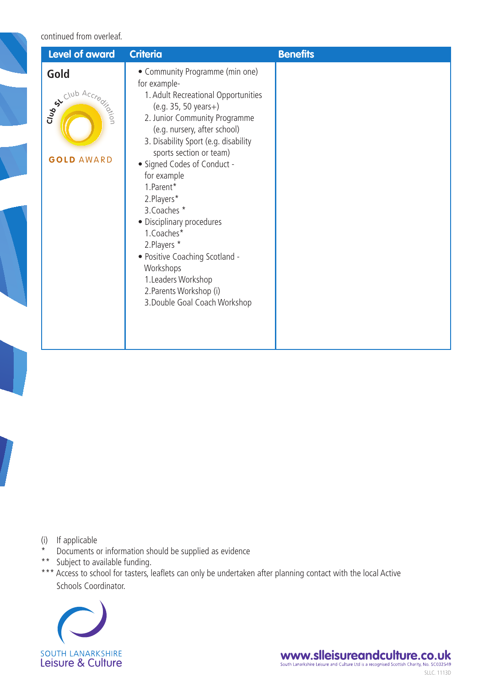#### continued from overleaf.

| <b>Level of award</b>                                      | <b>Criteria</b>                                                                                                                                                                                                                                                                                                                                                                                                                                                                                                                            | <b>Benefits</b> |
|------------------------------------------------------------|--------------------------------------------------------------------------------------------------------------------------------------------------------------------------------------------------------------------------------------------------------------------------------------------------------------------------------------------------------------------------------------------------------------------------------------------------------------------------------------------------------------------------------------------|-----------------|
| Gold<br>st Club Accred<br><b>LOND</b><br><b>GOLD AWARD</b> | • Community Programme (min one)<br>for example-<br>1. Adult Recreational Opportunities<br>$(e.g. 35, 50 years+)$<br>2. Junior Community Programme<br>(e.g. nursery, after school)<br>3. Disability Sport (e.g. disability<br>sports section or team)<br>• Signed Codes of Conduct -<br>for example<br>1.Parent*<br>2.Players*<br>3. Coaches *<br>· Disciplinary procedures<br>1.Coaches*<br>2. Players *<br>• Positive Coaching Scotland -<br>Workshops<br>1. Leaders Workshop<br>2. Parents Workshop (i)<br>3. Double Goal Coach Workshop |                 |

(i) If applicable

- \* Documents or information should be supplied as evidence
- \*\* Subject to available funding.
- \*\*\* Access to school for tasters, leaflets can only be undertaken after planning contact with the local Active Schools Coordinator.



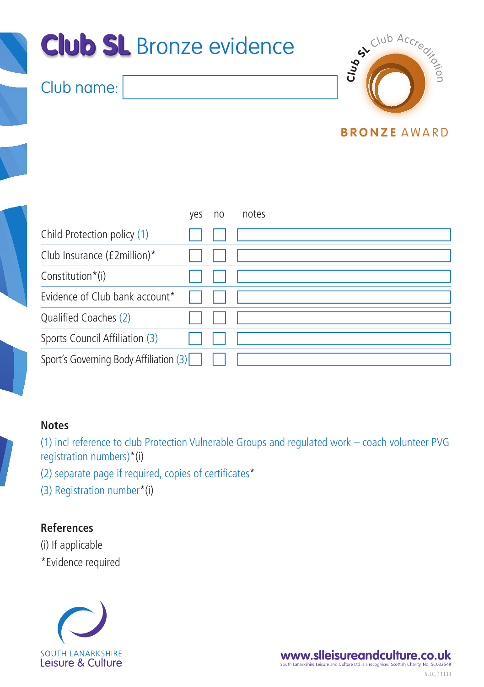

|                                        | ves | no | notes |
|----------------------------------------|-----|----|-------|
| Child Protection policy (1)            |     |    |       |
| Club Insurance (£2million)*            |     |    |       |
| Constitution*(i)                       |     |    |       |
| Evidence of Club bank account*         |     |    |       |
| Qualified Coaches (2)                  |     |    |       |
| Sports Council Affiliation (3)         |     |    |       |
| Sport's Governing Body Affiliation (3) |     |    |       |

### **Notes**

(1) incl reference to club Protection Vulnerable Groups and regulated work – coach volunteer PVG registration numbers)\*(i)

(2) separate page if required, copies of certificates $*$ 

(3) Registration number\*(i)

### **References**

(i) If applicable \*Evidence required



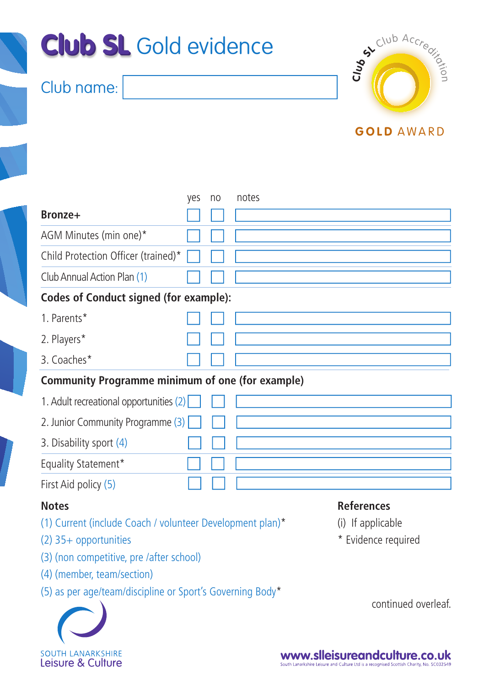

|                                                                           | ves | no | notes                                  |  |  |  |
|---------------------------------------------------------------------------|-----|----|----------------------------------------|--|--|--|
| Bronze+                                                                   |     |    |                                        |  |  |  |
| AGM Minutes (min one)*                                                    |     |    |                                        |  |  |  |
| Child Protection Officer (trained)*                                       |     |    |                                        |  |  |  |
| Club Annual Action Plan (1)                                               |     |    |                                        |  |  |  |
| <b>Codes of Conduct signed (for example):</b>                             |     |    |                                        |  |  |  |
| 1. Parents*                                                               |     |    |                                        |  |  |  |
| 2. Players*                                                               |     |    |                                        |  |  |  |
| 3. Coaches*                                                               |     |    |                                        |  |  |  |
| <b>Community Programme minimum of one (for example)</b>                   |     |    |                                        |  |  |  |
| 1. Adult recreational opportunities (2)                                   |     |    |                                        |  |  |  |
| 2. Junior Community Programme (3)                                         |     |    |                                        |  |  |  |
| 3. Disability sport (4)                                                   |     |    |                                        |  |  |  |
| Equality Statement*                                                       |     |    |                                        |  |  |  |
| First Aid policy (5)                                                      |     |    |                                        |  |  |  |
| <b>Notes</b><br>(1) Current (include Coach / volunteer Development plan)* |     |    | <b>References</b><br>(i) If applicable |  |  |  |

- (2) 35+ opportunities
- (3) (non competitive, pre /after school)
- (4) (member, team/section)
- (5) as per age/team/discipline or Sport's Governing Body\*
- \* Evidence required

continued overleaf.



www.slleisureandculture.co.uk